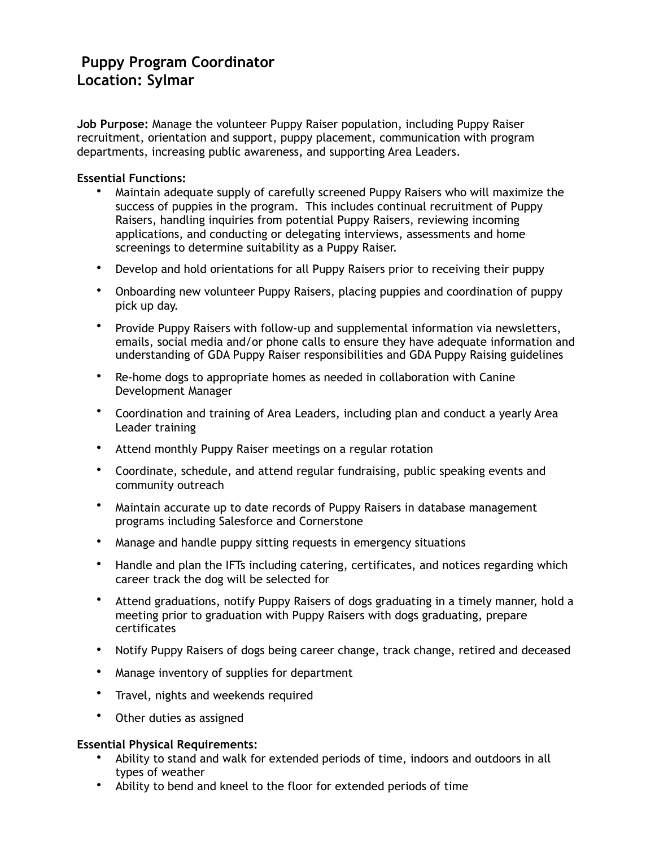## **Puppy Program Coordinator Location: Sylmar**

**Job Purpose:** Manage the volunteer Puppy Raiser population, including Puppy Raiser recruitment, orientation and support, puppy placement, communication with program departments, increasing public awareness, and supporting Area Leaders.

## **Essential Functions:**

- Maintain adequate supply of carefully screened Puppy Raisers who will maximize the success of puppies in the program. This includes continual recruitment of Puppy Raisers, handling inquiries from potential Puppy Raisers, reviewing incoming applications, and conducting or delegating interviews, assessments and home screenings to determine suitability as a Puppy Raiser.
- Develop and hold orientations for all Puppy Raisers prior to receiving their puppy
- Onboarding new volunteer Puppy Raisers, placing puppies and coordination of puppy pick up day.
- Provide Puppy Raisers with follow-up and supplemental information via newsletters, emails, social media and/or phone calls to ensure they have adequate information and understanding of GDA Puppy Raiser responsibilities and GDA Puppy Raising guidelines
- Re-home dogs to appropriate homes as needed in collaboration with Canine Development Manager
- Coordination and training of Area Leaders, including plan and conduct a yearly Area Leader training
- Attend monthly Puppy Raiser meetings on a regular rotation
- Coordinate, schedule, and attend regular fundraising, public speaking events and community outreach
- Maintain accurate up to date records of Puppy Raisers in database management programs including Salesforce and Cornerstone
- Manage and handle puppy sitting requests in emergency situations
- Handle and plan the IFTs including catering, certificates, and notices regarding which career track the dog will be selected for
- Attend graduations, notify Puppy Raisers of dogs graduating in a timely manner, hold a meeting prior to graduation with Puppy Raisers with dogs graduating, prepare certificates
- Notify Puppy Raisers of dogs being career change, track change, retired and deceased
- Manage inventory of supplies for department
- Travel, nights and weekends required
- Other duties as assigned

## **Essential Physical Requirements:**

- Ability to stand and walk for extended periods of time, indoors and outdoors in all types of weather
- Ability to bend and kneel to the floor for extended periods of time